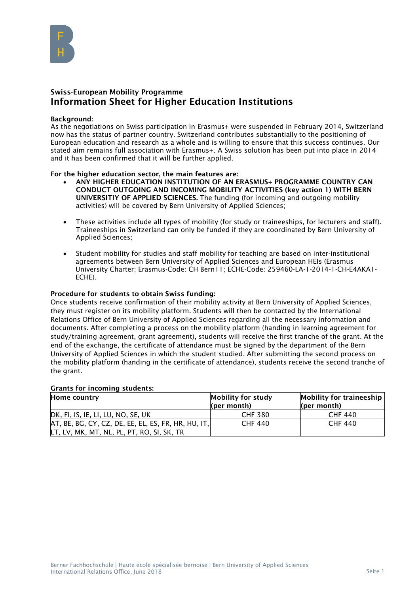

# Swiss-European Mobility Programme Information Sheet for Higher Education Institutions

#### Background:

As the negotiations on Swiss participation in Erasmus+ were suspended in February 2014, Switzerland now has the status of partner country. Switzerland contributes substantially to the positioning of European education and research as a whole and is willing to ensure that this success continues. Our stated aim remains full association with Erasmus+. A Swiss solution has been put into place in 2014 and it has been confirmed that it will be further applied.

## For the higher education sector, the main features are:

- ANY HIGHER EDUCATION INSTITUTION OF AN ERASMUS+ PROGRAMME COUNTRY CAN CONDUCT OUTGOING AND INCOMING MOBILITY ACTIVITIES (key action 1) WITH BERN UNIVERSITIY OF APPLIED SCIENCES. The funding (for incoming and outgoing mobility activities) will be covered by Bern University of Applied Sciences;
- These activities include all types of mobility (for study or traineeships, for lecturers and staff). Traineeships in Switzerland can only be funded if they are coordinated by Bern University of Applied Sciences;
- Student mobility for studies and staff mobility for teaching are based on inter-institutional agreements between Bern University of Applied Sciences and European HEIs (Erasmus University Charter; Erasmus-Code: CH Bern11; ECHE-Code: 259460-LA-1-2014-1-CH-E4AKA1- ECHE).

## Procedure for students to obtain Swiss funding:

Once students receive confirmation of their mobility activity at Bern University of Applied Sciences, they must register on its mobility platform. Students will then be contacted by the International Relations Office of Bern University of Applied Sciences regarding all the necessary information and documents. After completing a process on the mobility platform (handing in learning agreement for study/training agreement, grant agreement), students will receive the first tranche of the grant. At the end of the exchange, the certificate of attendance must be signed by the department of the Bern University of Applied Sciences in which the student studied. After submitting the second process on the mobility platform (handing in the certificate of attendance), students receive the second tranche of the grant.

#### Grants for incoming students:

| Home country                                           | Mobility for study | <b>Mobility for traineeship</b> |
|--------------------------------------------------------|--------------------|---------------------------------|
|                                                        | (per month)        | (per month)                     |
| DK, FI, IS, IE, LI, LU, NO, SE, UK                     | <b>CHF 380</b>     | <b>CHF 440</b>                  |
| $AT$ , BE, BG, CY, CZ, DE, EE, EL, ES, FR, HR, HU, IT, | <b>CHF 440</b>     | <b>CHF 440</b>                  |
| LT, LV, MK, MT, NL, PL, PT, RO, SI, SK, TR             |                    |                                 |